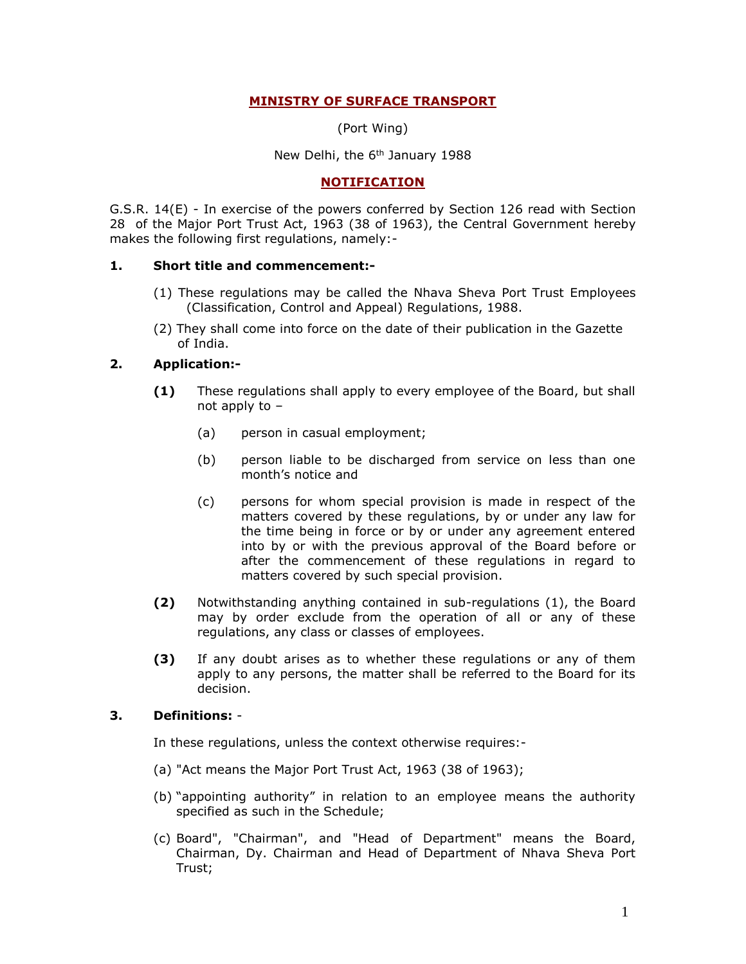## **MINISTRY OF SURFACE TRANSPORT**

(Port Wing)

New Delhi, the 6<sup>th</sup> January 1988

#### **NOTIFICATION**

G.S.R. 14(E) - In exercise of the powers conferred by Section 126 read with Section 28 of the Major Port Trust Act, 1963 (38 of 1963), the Central Government hereby makes the following first regulations, namely:-

#### **1. Short title and commencement:-**

- (1) These regulations may be called the Nhava Sheva Port Trust Employees (Classification, Control and Appeal) Regulations, 1988.
- (2) They shall come into force on the date of their publication in the Gazette of India.

### **2. Application:-**

- **(1)** These regulations shall apply to every employee of the Board, but shall not apply to –
	- (a) person in casual employment;
	- (b) person liable to be discharged from service on less than one month's notice and
	- (c) persons for whom special provision is made in respect of the matters covered by these regulations, by or under any law for the time being in force or by or under any agreement entered into by or with the previous approval of the Board before or after the commencement of these regulations in regard to matters covered by such special provision.
- **(2)** Notwithstanding anything contained in sub-regulations (1), the Board may by order exclude from the operation of all or any of these regulations, any class or classes of employees.
- **(3)** If any doubt arises as to whether these regulations or any of them apply to any persons, the matter shall be referred to the Board for its decision.

### **3. Definitions:** -

In these regulations, unless the context otherwise requires:-

- (a) "Act means the Major Port Trust Act, 1963 (38 of 1963);
- (b) "appointing authority" in relation to an employee means the authority specified as such in the Schedule;
- (c) Board", "Chairman", and "Head of Department" means the Board, Chairman, Dy. Chairman and Head of Department of Nhava Sheva Port Trust;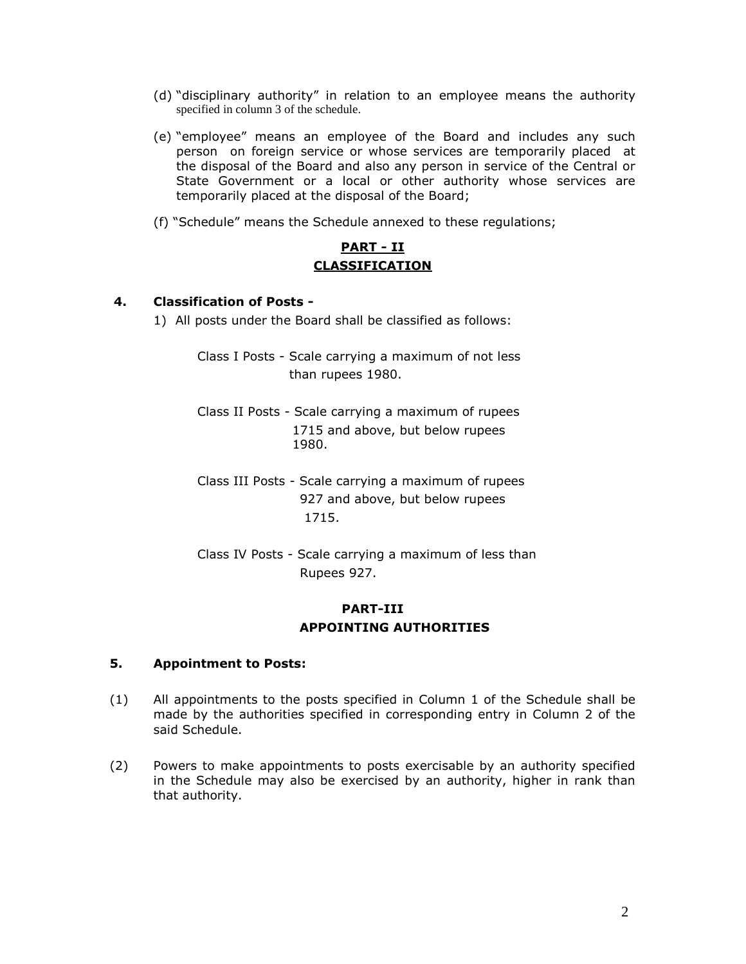- (d) "disciplinary authority" in relation to an employee means the authority specified in column 3 of the schedule.
- (e) "employee" means an employee of the Board and includes any such person on foreign service or whose services are temporarily placed at the disposal of the Board and also any person in service of the Central or State Government or a local or other authority whose services are temporarily placed at the disposal of the Board;
- (f) "Schedule" means the Schedule annexed to these regulations;

## **PART - II CLASSIFICATION**

## **4. Classification of Posts -**

1) All posts under the Board shall be classified as follows:

Class I Posts - Scale carrying a maximum of not less than rupees 1980.

- Class II Posts Scale carrying a maximum of rupees 1715 and above, but below rupees 1980.
- Class III Posts Scale carrying a maximum of rupees 927 and above, but below rupees 1715.
- Class IV Posts Scale carrying a maximum of less than Rupees 927.

## **PART-III APPOINTING AUTHORITIES**

### **5. Appointment to Posts:**

- (1) All appointments to the posts specified in Column 1 of the Schedule shall be made by the authorities specified in corresponding entry in Column 2 of the said Schedule.
- (2) Powers to make appointments to posts exercisable by an authority specified in the Schedule may also be exercised by an authority, higher in rank than that authority.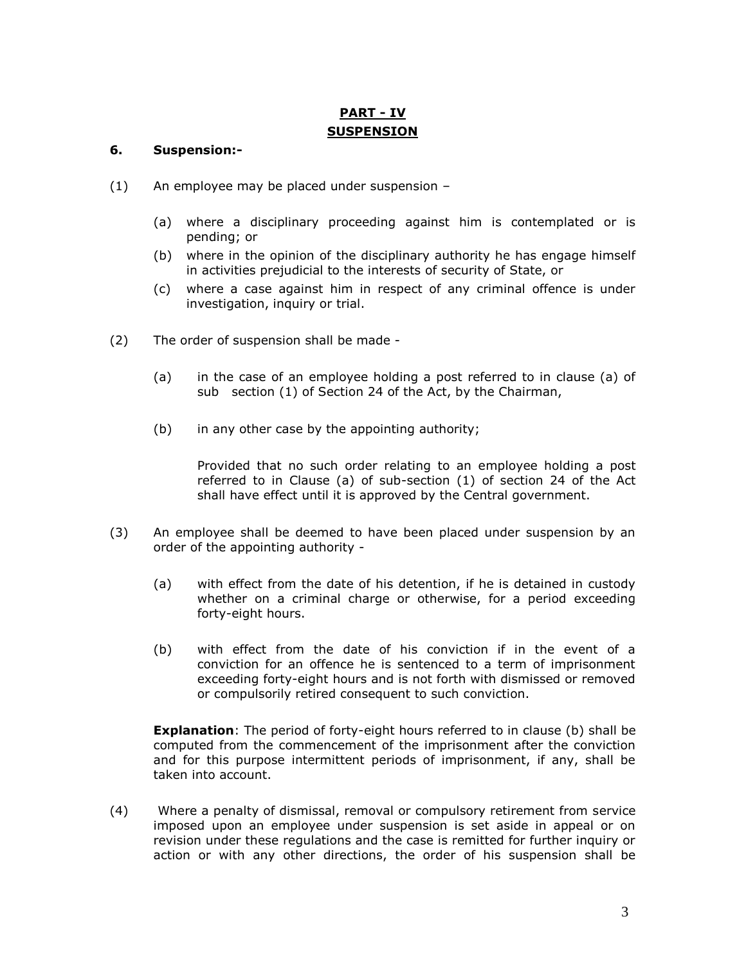# **PART - IV SUSPENSION**

## **6. Suspension:-**

- (1) An employee may be placed under suspension
	- (a) where a disciplinary proceeding against him is contemplated or is pending; or
	- (b) where in the opinion of the disciplinary authority he has engage himself in activities prejudicial to the interests of security of State, or
	- (c) where a case against him in respect of any criminal offence is under investigation, inquiry or trial.
- (2) The order of suspension shall be made
	- (a) in the case of an employee holding a post referred to in clause (a) of sub section (1) of Section 24 of the Act, by the Chairman,
	- (b) in any other case by the appointing authority;

Provided that no such order relating to an employee holding a post referred to in Clause (a) of sub-section (1) of section 24 of the Act shall have effect until it is approved by the Central government.

- (3) An employee shall be deemed to have been placed under suspension by an order of the appointing authority -
	- (a) with effect from the date of his detention, if he is detained in custody whether on a criminal charge or otherwise, for a period exceeding forty-eight hours.
	- (b) with effect from the date of his conviction if in the event of a conviction for an offence he is sentenced to a term of imprisonment exceeding forty-eight hours and is not forth with dismissed or removed or compulsorily retired consequent to such conviction.

**Explanation**: The period of forty-eight hours referred to in clause (b) shall be computed from the commencement of the imprisonment after the conviction and for this purpose intermittent periods of imprisonment, if any, shall be taken into account.

(4) Where a penalty of dismissal, removal or compulsory retirement from service imposed upon an employee under suspension is set aside in appeal or on revision under these regulations and the case is remitted for further inquiry or action or with any other directions, the order of his suspension shall be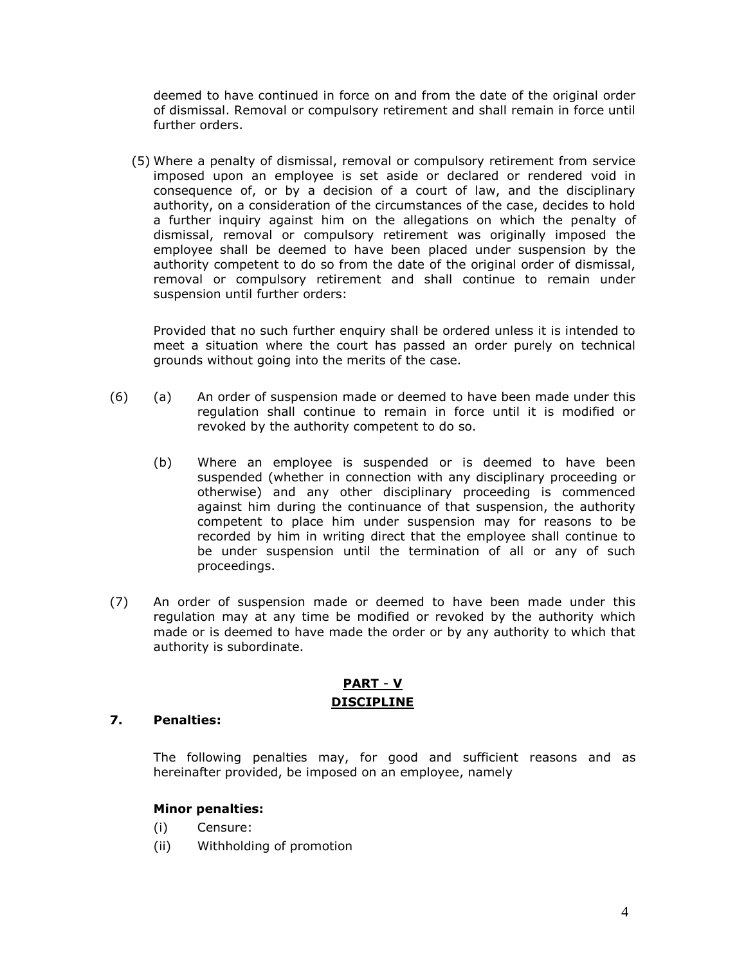deemed to have continued in force on and from the date of the original order of dismissal. Removal or compulsory retirement and shall remain in force until further orders.

(5) Where a penalty of dismissal, removal or compulsory retirement from service imposed upon an employee is set aside or declared or rendered void in consequence of, or by a decision of a court of law, and the disciplinary authority, on a consideration of the circumstances of the case, decides to hold a further inquiry against him on the allegations on which the penalty of dismissal, removal or compulsory retirement was originally imposed the employee shall be deemed to have been placed under suspension by the authority competent to do so from the date of the original order of dismissal, removal or compulsory retirement and shall continue to remain under suspension until further orders:

Provided that no such further enquiry shall be ordered unless it is intended to meet a situation where the court has passed an order purely on technical grounds without going into the merits of the case.

- (6) (a) An order of suspension made or deemed to have been made under this regulation shall continue to remain in force until it is modified or revoked by the authority competent to do so.
	- (b) Where an employee is suspended or is deemed to have been suspended (whether in connection with any disciplinary proceeding or otherwise) and any other disciplinary proceeding is commenced against him during the continuance of that suspension, the authority competent to place him under suspension may for reasons to be recorded by him in writing direct that the employee shall continue to be under suspension until the termination of all or any of such proceedings.
- (7) An order of suspension made or deemed to have been made under this regulation may at any time be modified or revoked by the authority which made or is deemed to have made the order or by any authority to which that authority is subordinate.

## **PART** - **V DISCIPLINE**

#### **7. Penalties:**

The following penalties may, for good and sufficient reasons and as hereinafter provided, be imposed on an employee, namely

### **Minor penalties:**

- (i) Censure:
- (ii) Withholding of promotion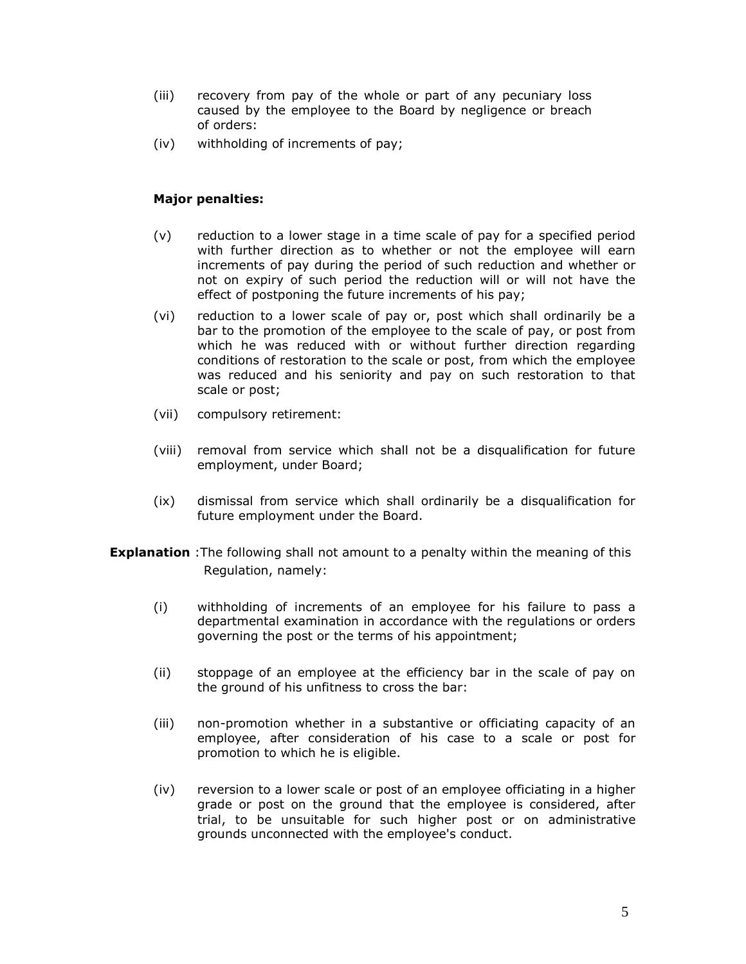- (iii) recovery from pay of the whole or part of any pecuniary loss caused by the employee to the Board by negligence or breach of orders:
- (iv) withholding of increments of pay;

## **Major penalties:**

- (v) reduction to a lower stage in a time scale of pay for a specified period with further direction as to whether or not the employee will earn increments of pay during the period of such reduction and whether or not on expiry of such period the reduction will or will not have the effect of postponing the future increments of his pay;
- (vi) reduction to a lower scale of pay or, post which shall ordinarily be a bar to the promotion of the employee to the scale of pay, or post from which he was reduced with or without further direction regarding conditions of restoration to the scale or post, from which the employee was reduced and his seniority and pay on such restoration to that scale or post;
- (vii) compulsory retirement:
- (viii) removal from service which shall not be a disqualification for future employment, under Board;
- (ix) dismissal from service which shall ordinarily be a disqualification for future employment under the Board.
- **Explanation** :The following shall not amount to a penalty within the meaning of this Regulation, namely:
	- (i) withholding of increments of an employee for his failure to pass a departmental examination in accordance with the regulations or orders governing the post or the terms of his appointment;
	- (ii) stoppage of an employee at the efficiency bar in the scale of pay on the ground of his unfitness to cross the bar:
	- (iii) non-promotion whether in a substantive or officiating capacity of an employee, after consideration of his case to a scale or post for promotion to which he is eligible.
	- (iv) reversion to a lower scale or post of an employee officiating in a higher grade or post on the ground that the employee is considered, after trial, to be unsuitable for such higher post or on administrative grounds unconnected with the employee's conduct.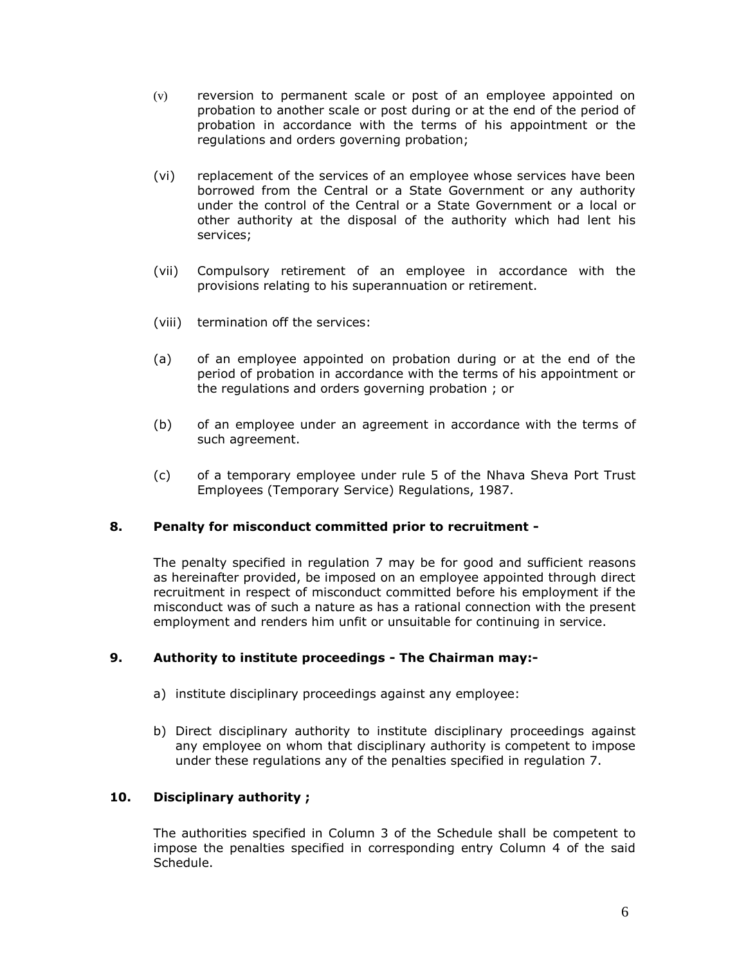- (v) reversion to permanent scale or post of an employee appointed on probation to another scale or post during or at the end of the period of probation in accordance with the terms of his appointment or the regulations and orders governing probation;
- (vi) replacement of the services of an employee whose services have been borrowed from the Central or a State Government or any authority under the control of the Central or a State Government or a local or other authority at the disposal of the authority which had lent his services;
- (vii) Compulsory retirement of an employee in accordance with the provisions relating to his superannuation or retirement.
- (viii) termination off the services:
- (a) of an employee appointed on probation during or at the end of the period of probation in accordance with the terms of his appointment or the regulations and orders governing probation ; or
- (b) of an employee under an agreement in accordance with the terms of such agreement.
- (c) of a temporary employee under rule 5 of the Nhava Sheva Port Trust Employees (Temporary Service) Regulations, 1987.

### **8. Penalty for misconduct committed prior to recruitment -**

The penalty specified in regulation 7 may be for good and sufficient reasons as hereinafter provided, be imposed on an employee appointed through direct recruitment in respect of misconduct committed before his employment if the misconduct was of such a nature as has a rational connection with the present employment and renders him unfit or unsuitable for continuing in service.

## **9. Authority to institute proceedings - The Chairman may:-**

- a) institute disciplinary proceedings against any employee:
- b) Direct disciplinary authority to institute disciplinary proceedings against any employee on whom that disciplinary authority is competent to impose under these regulations any of the penalties specified in regulation 7.

## **10. Disciplinary authority ;**

The authorities specified in Column 3 of the Schedule shall be competent to impose the penalties specified in corresponding entry Column 4 of the said Schedule.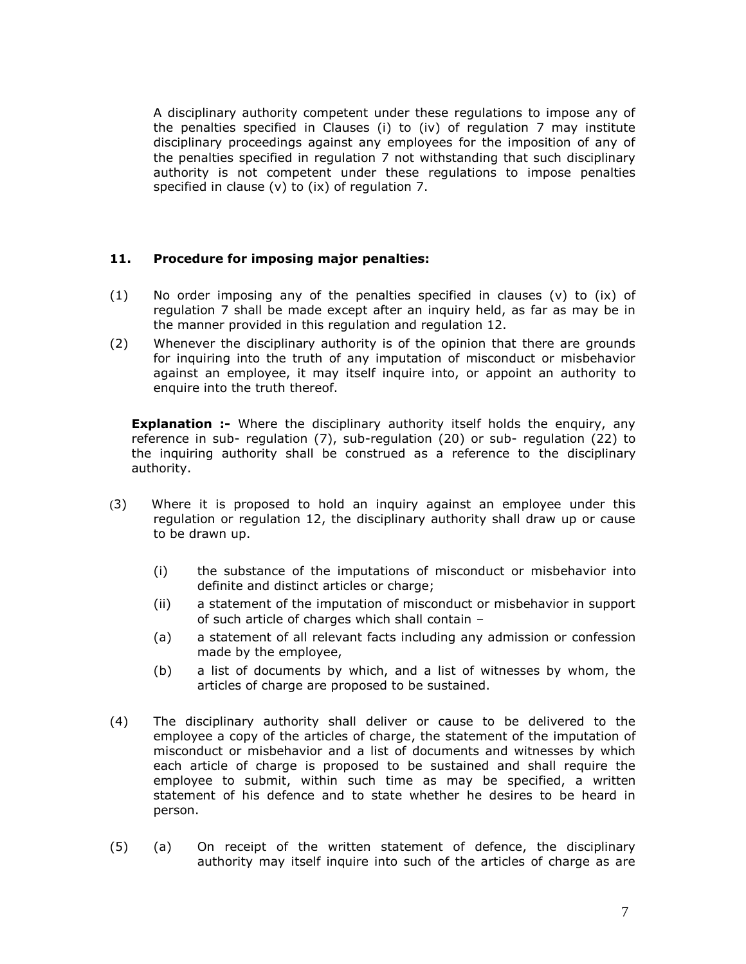A disciplinary authority competent under these regulations to impose any of the penalties specified in Clauses (i) to (iv) of regulation 7 may institute disciplinary proceedings against any employees for the imposition of any of the penalties specified in regulation 7 not withstanding that such disciplinary authority is not competent under these regulations to impose penalties specified in clause (v) to (ix) of regulation 7.

## **11. Procedure for imposing major penalties:**

- (1) No order imposing any of the penalties specified in clauses (v) to (ix) of regulation 7 shall be made except after an inquiry held, as far as may be in the manner provided in this regulation and regulation 12.
- (2) Whenever the disciplinary authority is of the opinion that there are grounds for inquiring into the truth of any imputation of misconduct or misbehavior against an employee, it may itself inquire into, or appoint an authority to enquire into the truth thereof.

**Explanation :-** Where the disciplinary authority itself holds the enquiry, any reference in sub- regulation (7), sub-regulation (20) or sub- regulation (22) to the inquiring authority shall be construed as a reference to the disciplinary authority.

- (3) Where it is proposed to hold an inquiry against an employee under this regulation or regulation 12, the disciplinary authority shall draw up or cause to be drawn up.
	- (i) the substance of the imputations of misconduct or misbehavior into definite and distinct articles or charge;
	- (ii) a statement of the imputation of misconduct or misbehavior in support of such article of charges which shall contain –
	- (a) a statement of all relevant facts including any admission or confession made by the employee,
	- (b) a list of documents by which, and a list of witnesses by whom, the articles of charge are proposed to be sustained.
- (4) The disciplinary authority shall deliver or cause to be delivered to the employee a copy of the articles of charge, the statement of the imputation of misconduct or misbehavior and a list of documents and witnesses by which each article of charge is proposed to be sustained and shall require the employee to submit, within such time as may be specified, a written statement of his defence and to state whether he desires to be heard in person.
- (5) (a) On receipt of the written statement of defence, the disciplinary authority may itself inquire into such of the articles of charge as are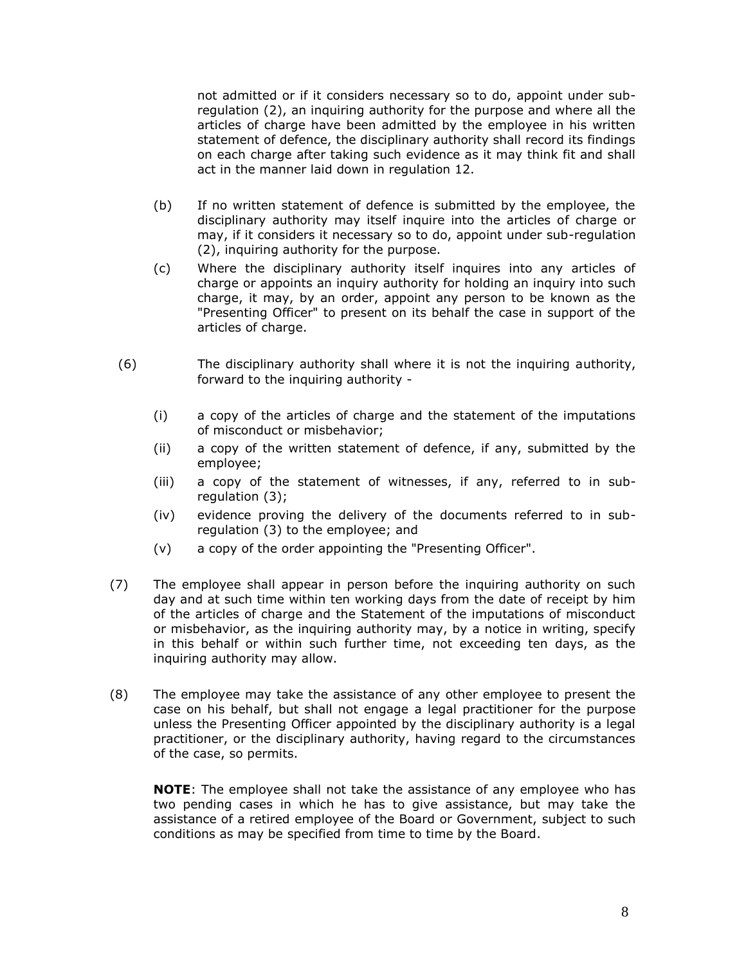not admitted or if it considers necessary so to do, appoint under subregulation (2), an inquiring authority for the purpose and where all the articles of charge have been admitted by the employee in his written statement of defence, the disciplinary authority shall record its findings on each charge after taking such evidence as it may think fit and shall act in the manner laid down in regulation 12.

- (b) If no written statement of defence is submitted by the employee, the disciplinary authority may itself inquire into the articles of charge or may, if it considers it necessary so to do, appoint under sub-regulation (2), inquiring authority for the purpose.
- (c) Where the disciplinary authority itself inquires into any articles of charge or appoints an inquiry authority for holding an inquiry into such charge, it may, by an order, appoint any person to be known as the "Presenting Officer" to present on its behalf the case in support of the articles of charge.
- (6) The disciplinary authority shall where it is not the inquiring authority, forward to the inquiring authority -
	- (i) a copy of the articles of charge and the statement of the imputations of misconduct or misbehavior;
	- (ii) a copy of the written statement of defence, if any, submitted by the employee;
	- (iii) a copy of the statement of witnesses, if any, referred to in subregulation (3);
	- (iv) evidence proving the delivery of the documents referred to in subregulation (3) to the employee; and
	- (v) a copy of the order appointing the "Presenting Officer".
- (7) The employee shall appear in person before the inquiring authority on such day and at such time within ten working days from the date of receipt by him of the articles of charge and the Statement of the imputations of misconduct or misbehavior, as the inquiring authority may, by a notice in writing, specify in this behalf or within such further time, not exceeding ten days, as the inquiring authority may allow.
- (8) The employee may take the assistance of any other employee to present the case on his behalf, but shall not engage a legal practitioner for the purpose unless the Presenting Officer appointed by the disciplinary authority is a legal practitioner, or the disciplinary authority, having regard to the circumstances of the case, so permits.

**NOTE**: The employee shall not take the assistance of any employee who has two pending cases in which he has to give assistance, but may take the assistance of a retired employee of the Board or Government, subject to such conditions as may be specified from time to time by the Board.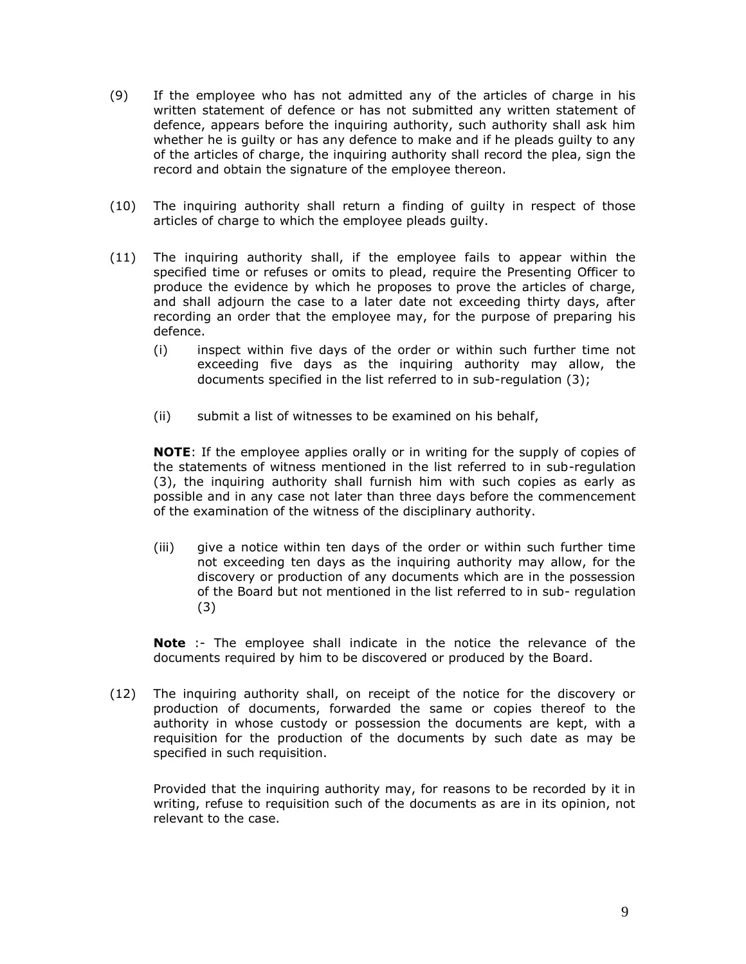- (9) If the employee who has not admitted any of the articles of charge in his written statement of defence or has not submitted any written statement of defence, appears before the inquiring authority, such authority shall ask him whether he is guilty or has any defence to make and if he pleads guilty to any of the articles of charge, the inquiring authority shall record the plea, sign the record and obtain the signature of the employee thereon.
- (10) The inquiring authority shall return a finding of guilty in respect of those articles of charge to which the employee pleads guilty.
- (11) The inquiring authority shall, if the employee fails to appear within the specified time or refuses or omits to plead, require the Presenting Officer to produce the evidence by which he proposes to prove the articles of charge, and shall adjourn the case to a later date not exceeding thirty days, after recording an order that the employee may, for the purpose of preparing his defence.
	- (i) inspect within five days of the order or within such further time not exceeding five days as the inquiring authority may allow, the documents specified in the list referred to in sub-regulation (3);
	- (ii) submit a list of witnesses to be examined on his behalf,

**NOTE**: If the employee applies orally or in writing for the supply of copies of the statements of witness mentioned in the list referred to in sub-regulation (3), the inquiring authority shall furnish him with such copies as early as possible and in any case not later than three days before the commencement of the examination of the witness of the disciplinary authority.

(iii) give a notice within ten days of the order or within such further time not exceeding ten days as the inquiring authority may allow, for the discovery or production of any documents which are in the possession of the Board but not mentioned in the list referred to in sub- regulation (3)

**Note** :- The employee shall indicate in the notice the relevance of the documents required by him to be discovered or produced by the Board.

(12) The inquiring authority shall, on receipt of the notice for the discovery or production of documents, forwarded the same or copies thereof to the authority in whose custody or possession the documents are kept, with a requisition for the production of the documents by such date as may be specified in such requisition.

Provided that the inquiring authority may, for reasons to be recorded by it in writing, refuse to requisition such of the documents as are in its opinion, not relevant to the case.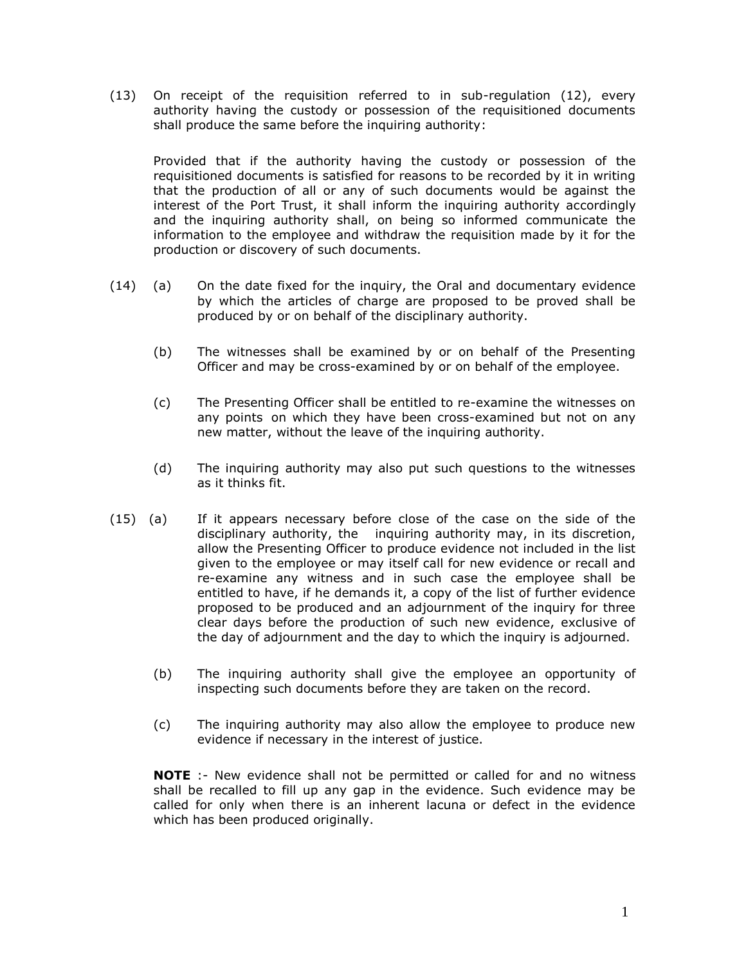(13) On receipt of the requisition referred to in sub-regulation (12), every authority having the custody or possession of the requisitioned documents shall produce the same before the inquiring authority:

Provided that if the authority having the custody or possession of the requisitioned documents is satisfied for reasons to be recorded by it in writing that the production of all or any of such documents would be against the interest of the Port Trust, it shall inform the inquiring authority accordingly and the inquiring authority shall, on being so informed communicate the information to the employee and withdraw the requisition made by it for the production or discovery of such documents.

- (14) (a) On the date fixed for the inquiry, the Oral and documentary evidence by which the articles of charge are proposed to be proved shall be produced by or on behalf of the disciplinary authority.
	- (b) The witnesses shall be examined by or on behalf of the Presenting Officer and may be cross-examined by or on behalf of the employee.
	- (c) The Presenting Officer shall be entitled to re-examine the witnesses on any points on which they have been cross-examined but not on any new matter, without the leave of the inquiring authority.
	- (d) The inquiring authority may also put such questions to the witnesses as it thinks fit.
- (15) (a) If it appears necessary before close of the case on the side of the disciplinary authority, the inquiring authority may, in its discretion, allow the Presenting Officer to produce evidence not included in the list given to the employee or may itself call for new evidence or recall and re-examine any witness and in such case the employee shall be entitled to have, if he demands it, a copy of the list of further evidence proposed to be produced and an adjournment of the inquiry for three clear days before the production of such new evidence, exclusive of the day of adjournment and the day to which the inquiry is adjourned.
	- (b) The inquiring authority shall give the employee an opportunity of inspecting such documents before they are taken on the record.
	- (c) The inquiring authority may also allow the employee to produce new evidence if necessary in the interest of justice.

**NOTE** :- New evidence shall not be permitted or called for and no witness shall be recalled to fill up any gap in the evidence. Such evidence may be called for only when there is an inherent lacuna or defect in the evidence which has been produced originally.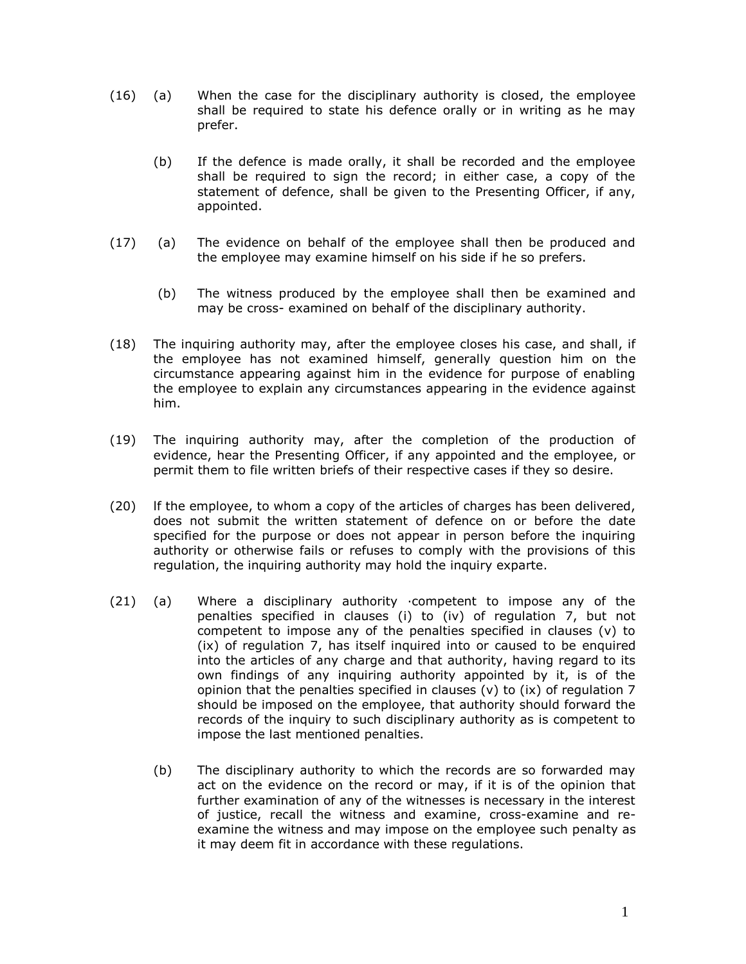- (16) (a) When the case for the disciplinary authority is closed, the employee shall be required to state his defence orally or in writing as he may prefer.
	- (b) If the defence is made orally, it shall be recorded and the employee shall be required to sign the record; in either case, a copy of the statement of defence, shall be given to the Presenting Officer, if any, appointed.
- (17) (a) The evidence on behalf of the employee shall then be produced and the employee may examine himself on his side if he so prefers.
	- (b) The witness produced by the employee shall then be examined and may be cross- examined on behalf of the disciplinary authority.
- (18) The inquiring authority may, after the employee closes his case, and shall, if the employee has not examined himself, generally question him on the circumstance appearing against him in the evidence for purpose of enabling the employee to explain any circumstances appearing in the evidence against him.
- (19) The inquiring authority may, after the completion of the production of evidence, hear the Presenting Officer, if any appointed and the employee, or permit them to file written briefs of their respective cases if they so desire.
- (20) lf the employee, to whom a copy of the articles of charges has been delivered, does not submit the written statement of defence on or before the date specified for the purpose or does not appear in person before the inquiring authority or otherwise fails or refuses to comply with the provisions of this regulation, the inquiring authority may hold the inquiry exparte.
- (21) (a) Where a disciplinary authority ·competent to impose any of the penalties specified in clauses (i) to (iv) of regulation 7, but not competent to impose any of the penalties specified in clauses (v) to (ix) of regulation 7, has itself inquired into or caused to be enquired into the articles of any charge and that authority, having regard to its own findings of any inquiring authority appointed by it, is of the opinion that the penalties specified in clauses (v) to (ix) of regulation 7 should be imposed on the employee, that authority should forward the records of the inquiry to such disciplinary authority as is competent to impose the last mentioned penalties.
	- (b) The disciplinary authority to which the records are so forwarded may act on the evidence on the record or may, if it is of the opinion that further examination of any of the witnesses is necessary in the interest of justice, recall the witness and examine, cross-examine and reexamine the witness and may impose on the employee such penalty as it may deem fit in accordance with these regulations.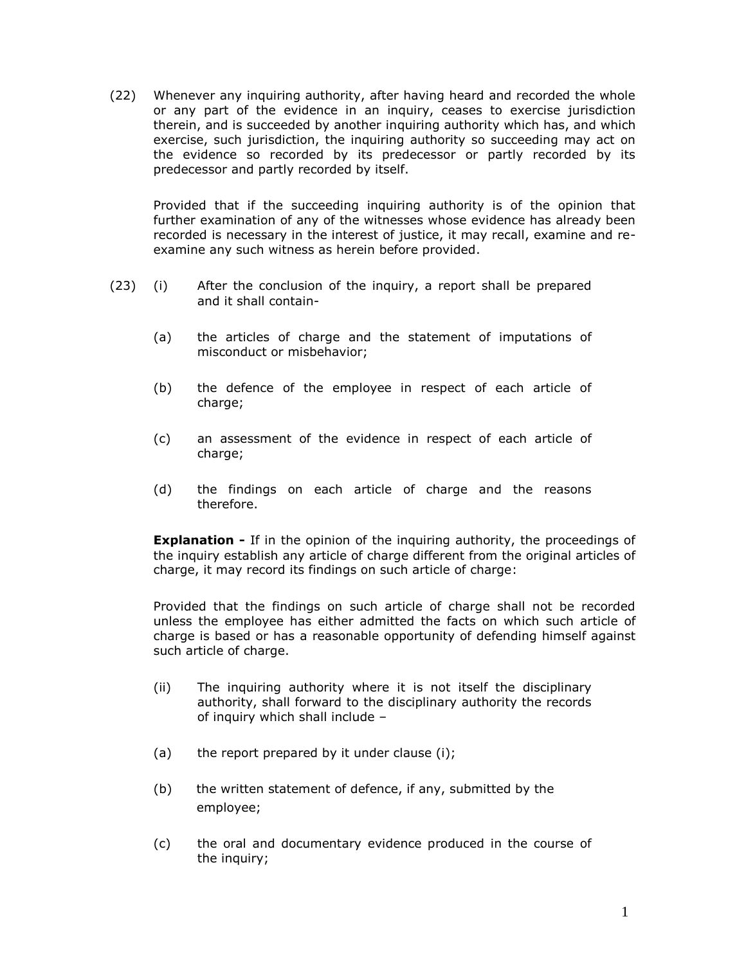(22) Whenever any inquiring authority, after having heard and recorded the whole or any part of the evidence in an inquiry, ceases to exercise jurisdiction therein, and is succeeded by another inquiring authority which has, and which exercise, such jurisdiction, the inquiring authority so succeeding may act on the evidence so recorded by its predecessor or partly recorded by its predecessor and partly recorded by itself.

Provided that if the succeeding inquiring authority is of the opinion that further examination of any of the witnesses whose evidence has already been recorded is necessary in the interest of justice, it may recall, examine and reexamine any such witness as herein before provided.

- (23) (i) After the conclusion of the inquiry, a report shall be prepared and it shall contain-
	- (a) the articles of charge and the statement of imputations of misconduct or misbehavior;
	- (b) the defence of the employee in respect of each article of charge;
	- (c) an assessment of the evidence in respect of each article of charge;
	- (d) the findings on each article of charge and the reasons therefore.

**Explanation -** If in the opinion of the inquiring authority, the proceedings of the inquiry establish any article of charge different from the original articles of charge, it may record its findings on such article of charge:

Provided that the findings on such article of charge shall not be recorded unless the employee has either admitted the facts on which such article of charge is based or has a reasonable opportunity of defending himself against such article of charge.

- (ii) The inquiring authority where it is not itself the disciplinary authority, shall forward to the disciplinary authority the records of inquiry which shall include –
- (a) the report prepared by it under clause  $(i)$ ;
- (b) the written statement of defence, if any, submitted by the employee;
- (c) the oral and documentary evidence produced in the course of the inquiry;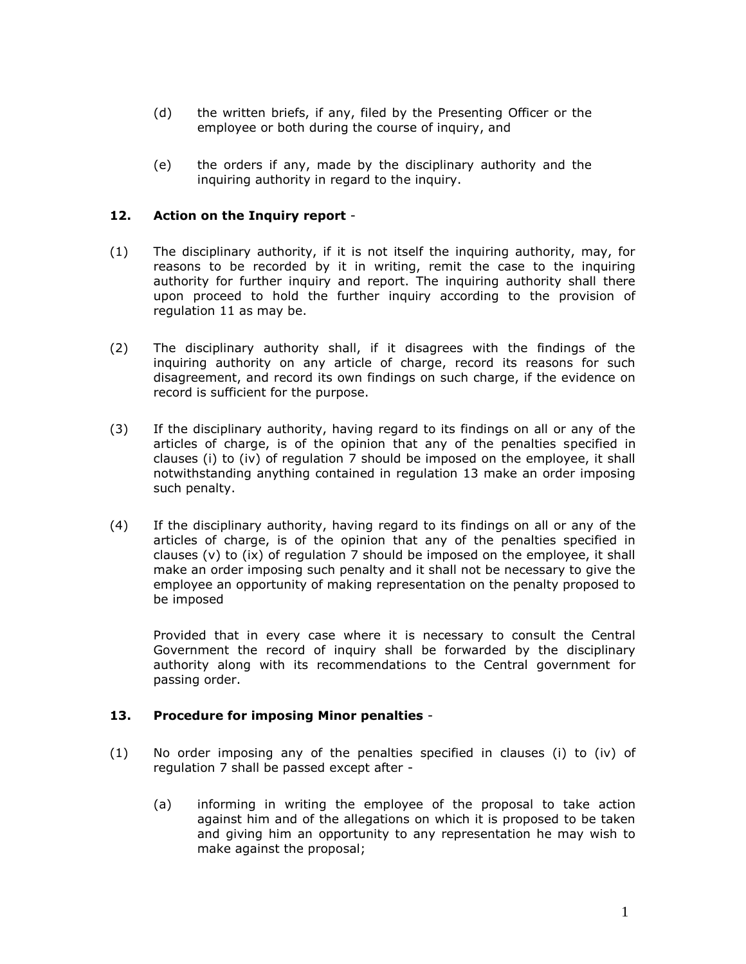- (d) the written briefs, if any, filed by the Presenting Officer or the employee or both during the course of inquiry, and
- (e) the orders if any, made by the disciplinary authority and the inquiring authority in regard to the inquiry.

## **12. Action on the Inquiry report** -

- (1) The disciplinary authority, if it is not itself the inquiring authority, may, for reasons to be recorded by it in writing, remit the case to the inquiring authority for further inquiry and report. The inquiring authority shall there upon proceed to hold the further inquiry according to the provision of regulation 11 as may be.
- (2) The disciplinary authority shall, if it disagrees with the findings of the inquiring authority on any article of charge, record its reasons for such disagreement, and record its own findings on such charge, if the evidence on record is sufficient for the purpose.
- (3) If the disciplinary authority, having regard to its findings on all or any of the articles of charge, is of the opinion that any of the penalties specified in clauses (i) to (iv) of regulation 7 should be imposed on the employee, it shall notwithstanding anything contained in regulation 13 make an order imposing such penalty.
- (4) If the disciplinary authority, having regard to its findings on all or any of the articles of charge, is of the opinion that any of the penalties specified in clauses (v) to (ix) of regulation 7 should be imposed on the employee, it shall make an order imposing such penalty and it shall not be necessary to give the employee an opportunity of making representation on the penalty proposed to be imposed

Provided that in every case where it is necessary to consult the Central Government the record of inquiry shall be forwarded by the disciplinary authority along with its recommendations to the Central government for passing order.

### **13. Procedure for imposing Minor penalties** -

- (1) No order imposing any of the penalties specified in clauses (i) to (iv) of regulation 7 shall be passed except after -
	- (a) informing in writing the employee of the proposal to take action against him and of the allegations on which it is proposed to be taken and giving him an opportunity to any representation he may wish to make against the proposal;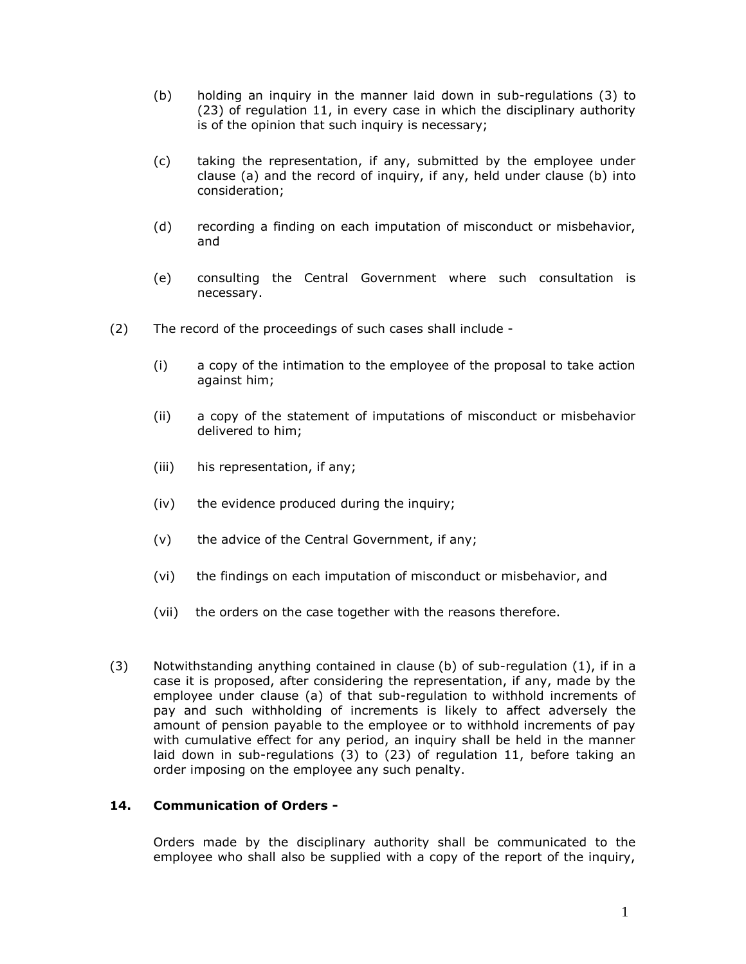- (b) holding an inquiry in the manner laid down in sub-regulations (3) to (23) of regulation 11, in every case in which the disciplinary authority is of the opinion that such inquiry is necessary;
- (c) taking the representation, if any, submitted by the employee under clause (a) and the record of inquiry, if any, held under clause (b) into consideration;
- (d) recording a finding on each imputation of misconduct or misbehavior, and
- (e) consulting the Central Government where such consultation is necessary.
- (2) The record of the proceedings of such cases shall include
	- (i) a copy of the intimation to the employee of the proposal to take action against him;
	- (ii) a copy of the statement of imputations of misconduct or misbehavior delivered to him;
	- (iii) his representation, if any;
	- (iv) the evidence produced during the inquiry;
	- (v) the advice of the Central Government, if any;
	- (vi) the findings on each imputation of misconduct or misbehavior, and
	- (vii) the orders on the case together with the reasons therefore.
- (3) Notwithstanding anything contained in clause (b) of sub-regulation (1), if in a case it is proposed, after considering the representation, if any, made by the employee under clause (a) of that sub-regulation to withhold increments of pay and such withholding of increments is likely to affect adversely the amount of pension payable to the employee or to withhold increments of pay with cumulative effect for any period, an inquiry shall be held in the manner laid down in sub-regulations (3) to (23) of regulation 11, before taking an order imposing on the employee any such penalty.

## **14. Communication of Orders -**

Orders made by the disciplinary authority shall be communicated to the employee who shall also be supplied with a copy of the report of the inquiry,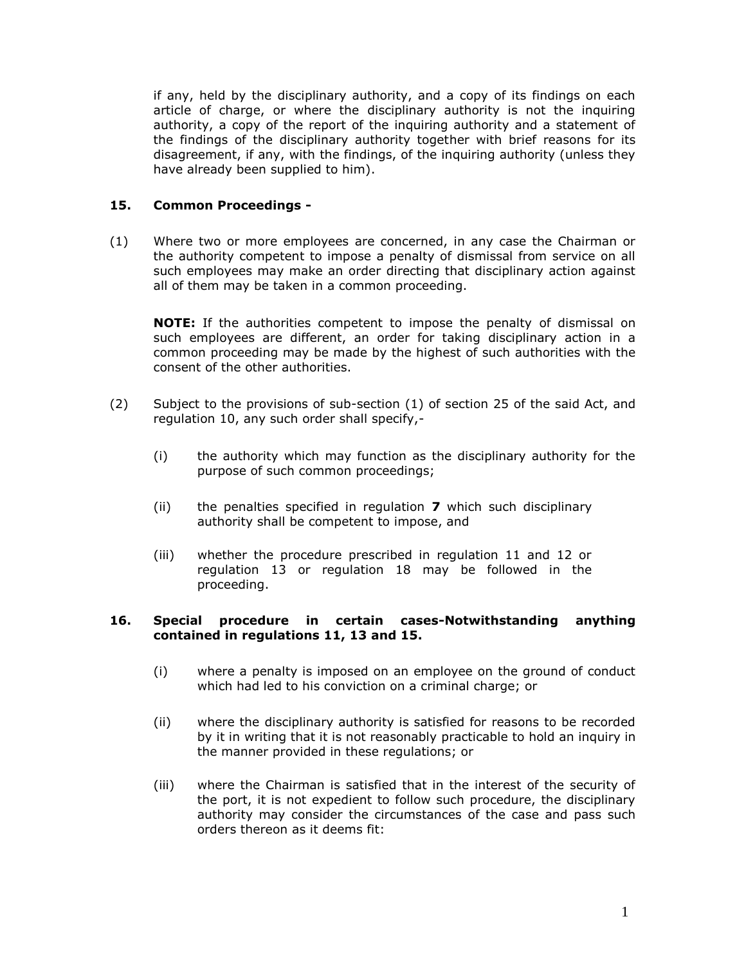if any, held by the disciplinary authority, and a copy of its findings on each article of charge, or where the disciplinary authority is not the inquiring authority, a copy of the report of the inquiring authority and a statement of the findings of the disciplinary authority together with brief reasons for its disagreement, if any, with the findings, of the inquiring authority (unless they have already been supplied to him).

## **15. Common Proceedings -**

(1) Where two or more employees are concerned, in any case the Chairman or the authority competent to impose a penalty of dismissal from service on all such employees may make an order directing that disciplinary action against all of them may be taken in a common proceeding.

**NOTE:** If the authorities competent to impose the penalty of dismissal on such employees are different, an order for taking disciplinary action in a common proceeding may be made by the highest of such authorities with the consent of the other authorities.

- (2) Subject to the provisions of sub-section (1) of section 25 of the said Act, and regulation 10, any such order shall specify,-
	- (i) the authority which may function as the disciplinary authority for the purpose of such common proceedings;
	- (ii) the penalties specified in regulation **7** which such disciplinary authority shall be competent to impose, and
	- (iii) whether the procedure prescribed in regulation 11 and 12 or regulation 13 or regulation 18 may be followed in the proceeding.

### **16. Special procedure in certain cases-Notwithstanding anything contained in regulations 11, 13 and 15.**

- (i) where a penalty is imposed on an employee on the ground of conduct which had led to his conviction on a criminal charge; or
- (ii) where the disciplinary authority is satisfied for reasons to be recorded by it in writing that it is not reasonably practicable to hold an inquiry in the manner provided in these regulations; or
- (iii) where the Chairman is satisfied that in the interest of the security of the port, it is not expedient to follow such procedure, the disciplinary authority may consider the circumstances of the case and pass such orders thereon as it deems fit: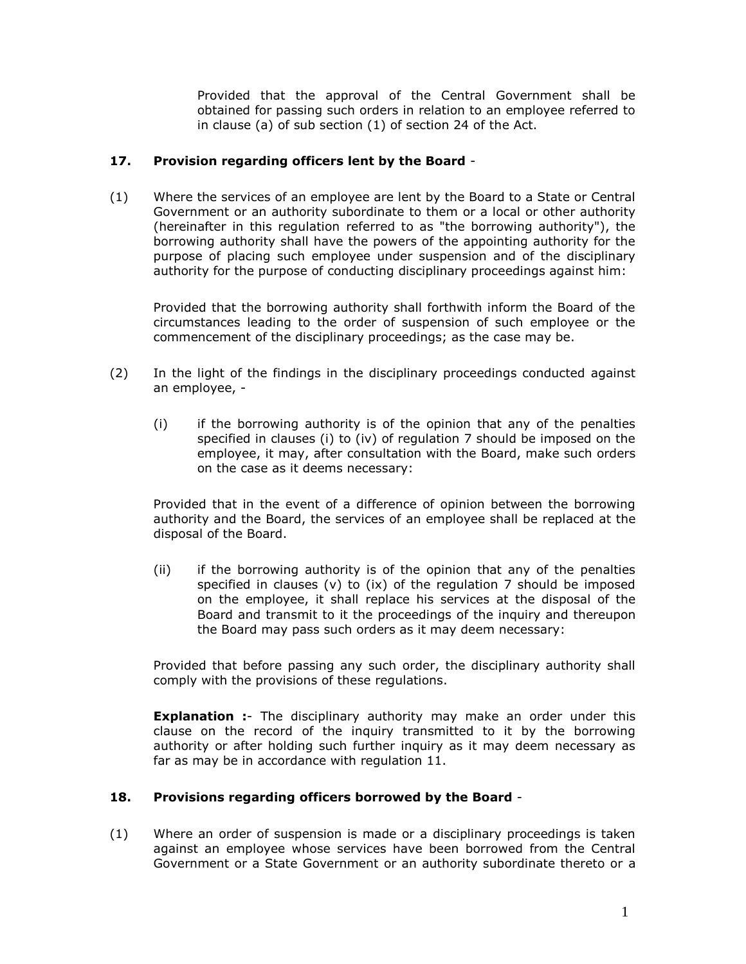Provided that the approval of the Central Government shall be obtained for passing such orders in relation to an employee referred to in clause (a) of sub section (1) of section 24 of the Act.

## **17. Provision regarding officers lent by the Board** -

(1) Where the services of an employee are lent by the Board to a State or Central Government or an authority subordinate to them or a local or other authority (hereinafter in this regulation referred to as "the borrowing authority"), the borrowing authority shall have the powers of the appointing authority for the purpose of placing such employee under suspension and of the disciplinary authority for the purpose of conducting disciplinary proceedings against him:

Provided that the borrowing authority shall forthwith inform the Board of the circumstances leading to the order of suspension of such employee or the commencement of the disciplinary proceedings; as the case may be.

- (2) In the light of the findings in the disciplinary proceedings conducted against an employee, -
	- (i) if the borrowing authority is of the opinion that any of the penalties specified in clauses (i) to (iv) of regulation 7 should be imposed on the employee, it may, after consultation with the Board, make such orders on the case as it deems necessary:

Provided that in the event of a difference of opinion between the borrowing authority and the Board, the services of an employee shall be replaced at the disposal of the Board.

(ii) if the borrowing authority is of the opinion that any of the penalties specified in clauses (v) to (ix) of the regulation 7 should be imposed on the employee, it shall replace his services at the disposal of the Board and transmit to it the proceedings of the inquiry and thereupon the Board may pass such orders as it may deem necessary:

Provided that before passing any such order, the disciplinary authority shall comply with the provisions of these regulations.

**Explanation :-** The disciplinary authority may make an order under this clause on the record of the inquiry transmitted to it by the borrowing authority or after holding such further inquiry as it may deem necessary as far as may be in accordance with regulation 11.

### **18. Provisions regarding officers borrowed by the Board** -

(1) Where an order of suspension is made or a disciplinary proceedings is taken against an employee whose services have been borrowed from the Central Government or a State Government or an authority subordinate thereto or a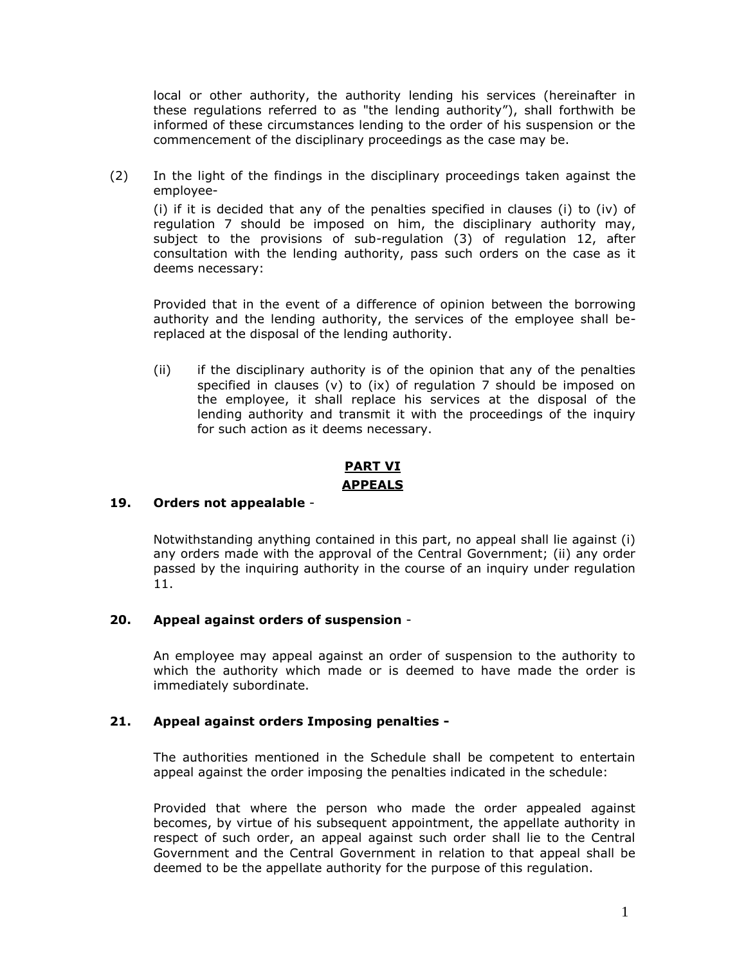local or other authority, the authority lending his services (hereinafter in these regulations referred to as "the lending authority"), shall forthwith be informed of these circumstances lending to the order of his suspension or the commencement of the disciplinary proceedings as the case may be.

(2) In the light of the findings in the disciplinary proceedings taken against the employee-

(i) if it is decided that any of the penalties specified in clauses (i) to (iv) of regulation 7 should be imposed on him, the disciplinary authority may, subject to the provisions of sub-regulation (3) of regulation 12, after consultation with the lending authority, pass such orders on the case as it deems necessary:

Provided that in the event of a difference of opinion between the borrowing authority and the lending authority, the services of the employee shall bereplaced at the disposal of the lending authority.

(ii) if the disciplinary authority is of the opinion that any of the penalties specified in clauses (v) to (ix) of regulation 7 should be imposed on the employee, it shall replace his services at the disposal of the lending authority and transmit it with the proceedings of the inquiry for such action as it deems necessary.

### **PART VI APPEALS**

### **19. Orders not appealable** -

Notwithstanding anything contained in this part, no appeal shall lie against (i) any orders made with the approval of the Central Government; (ii) any order passed by the inquiring authority in the course of an inquiry under regulation 11.

### **20. Appeal against orders of suspension** -

An employee may appeal against an order of suspension to the authority to which the authority which made or is deemed to have made the order is immediately subordinate.

#### **21. Appeal against orders Imposing penalties -**

The authorities mentioned in the Schedule shall be competent to entertain appeal against the order imposing the penalties indicated in the schedule:

Provided that where the person who made the order appealed against becomes, by virtue of his subsequent appointment, the appellate authority in respect of such order, an appeal against such order shall lie to the Central Government and the Central Government in relation to that appeal shall be deemed to be the appellate authority for the purpose of this regulation.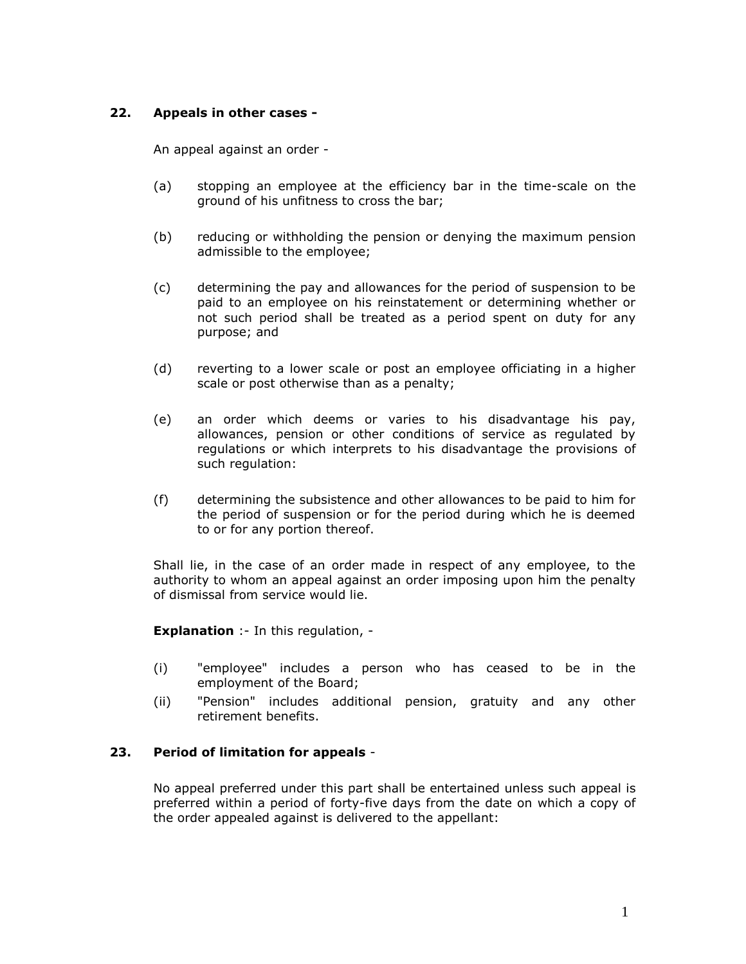## **22. Appeals in other cases -**

An appeal against an order -

- (a) stopping an employee at the efficiency bar in the time-scale on the ground of his unfitness to cross the bar;
- (b) reducing or withholding the pension or denying the maximum pension admissible to the employee;
- (c) determining the pay and allowances for the period of suspension to be paid to an employee on his reinstatement or determining whether or not such period shall be treated as a period spent on duty for any purpose; and
- (d) reverting to a lower scale or post an employee officiating in a higher scale or post otherwise than as a penalty;
- (e) an order which deems or varies to his disadvantage his pay, allowances, pension or other conditions of service as regulated by regulations or which interprets to his disadvantage the provisions of such regulation:
- (f) determining the subsistence and other allowances to be paid to him for the period of suspension or for the period during which he is deemed to or for any portion thereof.

Shall lie, in the case of an order made in respect of any employee, to the authority to whom an appeal against an order imposing upon him the penalty of dismissal from service would lie.

**Explanation** :- In this regulation, -

- (i) "employee" includes a person who has ceased to be in the employment of the Board;
- (ii) "Pension" includes additional pension, gratuity and any other retirement benefits.

### **23. Period of limitation for appeals** -

No appeal preferred under this part shall be entertained unless such appeal is preferred within a period of forty-five days from the date on which a copy of the order appealed against is delivered to the appellant: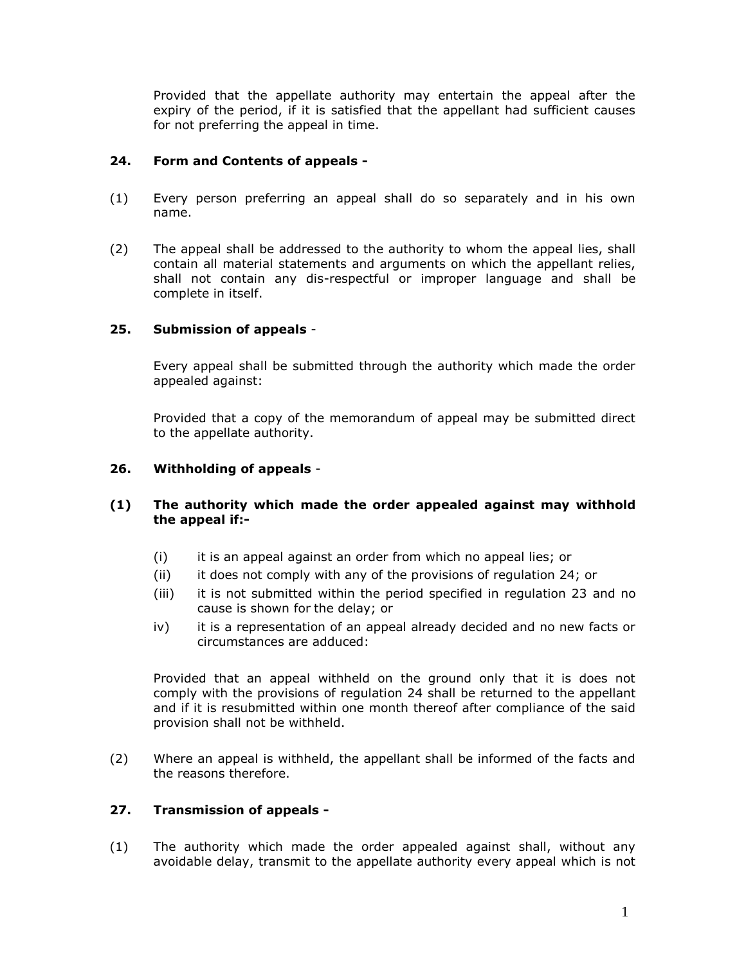Provided that the appellate authority may entertain the appeal after the expiry of the period, if it is satisfied that the appellant had sufficient causes for not preferring the appeal in time.

## **24. Form and Contents of appeals -**

- (1) Every person preferring an appeal shall do so separately and in his own name.
- (2) The appeal shall be addressed to the authority to whom the appeal lies, shall contain all material statements and arguments on which the appellant relies, shall not contain any dis-respectful or improper language and shall be complete in itself.

## **25. Submission of appeals** -

Every appeal shall be submitted through the authority which made the order appealed against:

Provided that a copy of the memorandum of appeal may be submitted direct to the appellate authority.

### **26. Withholding of appeals** -

## **(1) The authority which made the order appealed against may withhold the appeal if:-**

- (i) it is an appeal against an order from which no appeal lies; or
- (ii) it does not comply with any of the provisions of regulation 24; or
- (iii) it is not submitted within the period specified in regulation 23 and no cause is shown for the delay; or
- iv) it is a representation of an appeal already decided and no new facts or circumstances are adduced:

Provided that an appeal withheld on the ground only that it is does not comply with the provisions of regulation 24 shall be returned to the appellant and if it is resubmitted within one month thereof after compliance of the said provision shall not be withheld.

(2) Where an appeal is withheld, the appellant shall be informed of the facts and the reasons therefore.

### **27. Transmission of appeals -**

(1) The authority which made the order appealed against shall, without any avoidable delay, transmit to the appellate authority every appeal which is not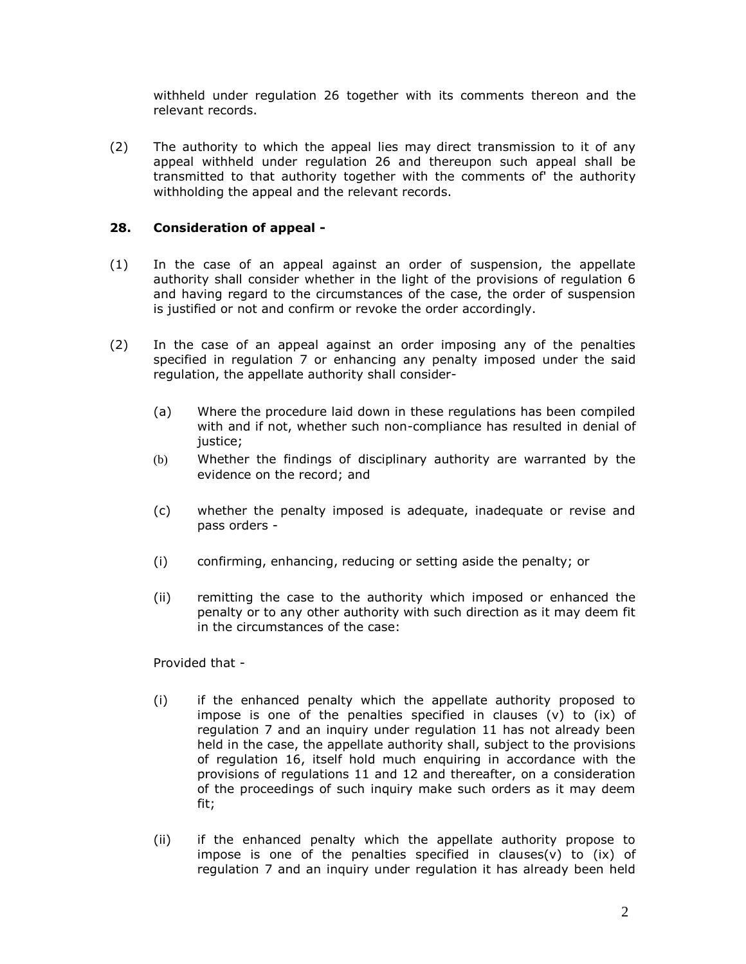withheld under regulation 26 together with its comments thereon and the relevant records.

(2) The authority to which the appeal lies may direct transmission to it of any appeal withheld under regulation 26 and thereupon such appeal shall be transmitted to that authority together with the comments of' the authority withholding the appeal and the relevant records.

## **28. Consideration of appeal -**

- (1) In the case of an appeal against an order of suspension, the appellate authority shall consider whether in the light of the provisions of regulation 6 and having regard to the circumstances of the case, the order of suspension is justified or not and confirm or revoke the order accordingly.
- (2) In the case of an appeal against an order imposing any of the penalties specified in regulation 7 or enhancing any penalty imposed under the said regulation, the appellate authority shall consider-
	- (a) Where the procedure laid down in these regulations has been compiled with and if not, whether such non-compliance has resulted in denial of justice;
	- (b) Whether the findings of disciplinary authority are warranted by the evidence on the record; and
	- (c) whether the penalty imposed is adequate, inadequate or revise and pass orders -
	- (i) confirming, enhancing, reducing or setting aside the penalty; or
	- (ii) remitting the case to the authority which imposed or enhanced the penalty or to any other authority with such direction as it may deem fit in the circumstances of the case:

Provided that -

- (i) if the enhanced penalty which the appellate authority proposed to impose is one of the penalties specified in clauses (v) to (ix) of regulation 7 and an inquiry under regulation 11 has not already been held in the case, the appellate authority shall, subject to the provisions of regulation 16, itself hold much enquiring in accordance with the provisions of regulations 11 and 12 and thereafter, on a consideration of the proceedings of such inquiry make such orders as it may deem fit;
- (ii) if the enhanced penalty which the appellate authority propose to impose is one of the penalties specified in clauses(v) to (ix) of regulation 7 and an inquiry under regulation it has already been held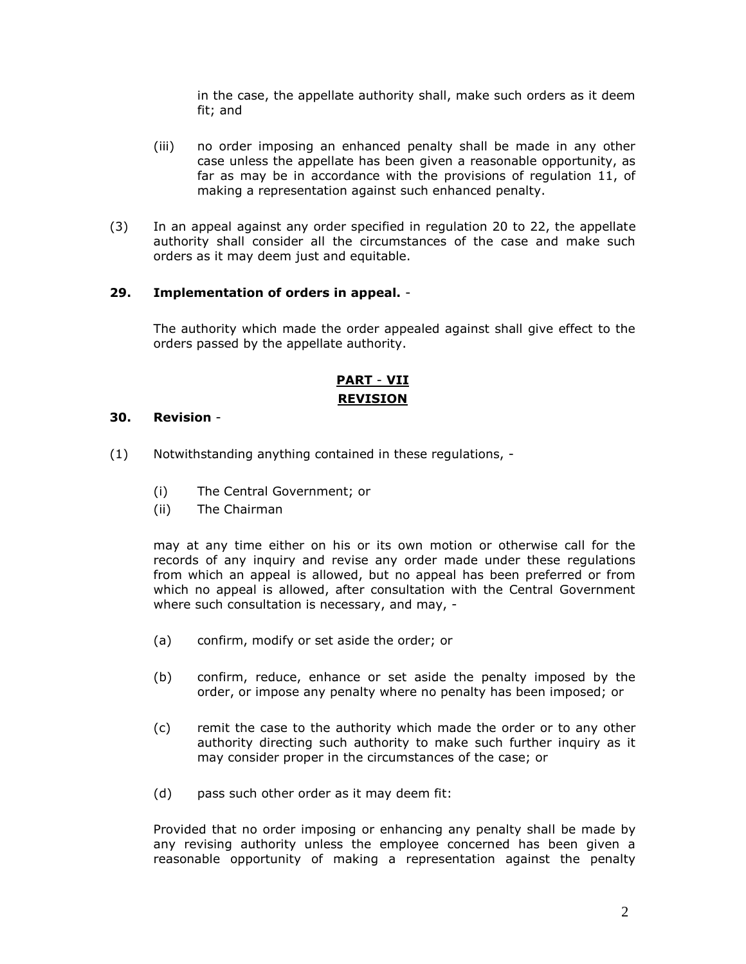in the case, the appellate authority shall, make such orders as it deem fit; and

- (iii) no order imposing an enhanced penalty shall be made in any other case unless the appellate has been given a reasonable opportunity, as far as may be in accordance with the provisions of regulation 11, of making a representation against such enhanced penalty.
- (3) In an appeal against any order specified in regulation 20 to 22, the appellate authority shall consider all the circumstances of the case and make such orders as it may deem just and equitable.

## **29. Implementation of orders in appeal.** -

The authority which made the order appealed against shall give effect to the orders passed by the appellate authority.

## **PART** - **VII REVISION**

## **30. Revision** -

- (1) Notwithstanding anything contained in these regulations,
	- (i) The Central Government; or
	- (ii) The Chairman

may at any time either on his or its own motion or otherwise call for the records of any inquiry and revise any order made under these regulations from which an appeal is allowed, but no appeal has been preferred or from which no appeal is allowed, after consultation with the Central Government where such consultation is necessary, and may, -

- (a) confirm, modify or set aside the order; or
- (b) confirm, reduce, enhance or set aside the penalty imposed by the order, or impose any penalty where no penalty has been imposed; or
- (c) remit the case to the authority which made the order or to any other authority directing such authority to make such further inquiry as it may consider proper in the circumstances of the case; or
- (d) pass such other order as it may deem fit:

Provided that no order imposing or enhancing any penalty shall be made by any revising authority unless the employee concerned has been given a reasonable opportunity of making a representation against the penalty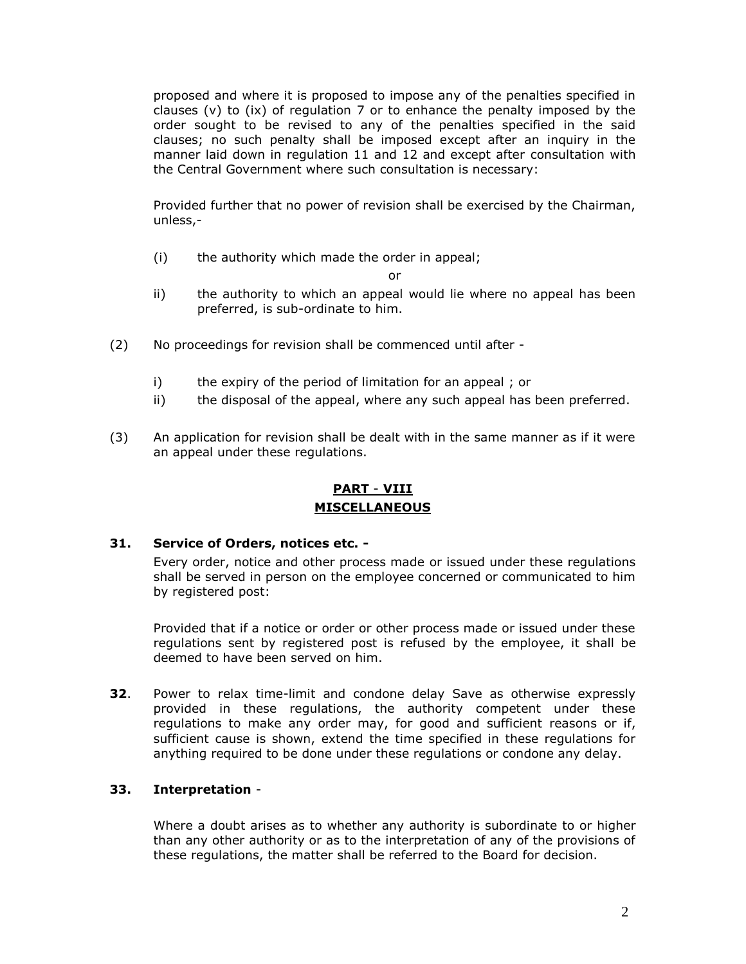proposed and where it is proposed to impose any of the penalties specified in clauses (v) to  $(ix)$  of regulation 7 or to enhance the penalty imposed by the order sought to be revised to any of the penalties specified in the said clauses; no such penalty shall be imposed except after an inquiry in the manner laid down in regulation 11 and 12 and except after consultation with the Central Government where such consultation is necessary:

Provided further that no power of revision shall be exercised by the Chairman, unless,-

(i) the authority which made the order in appeal;

or

- ii) the authority to which an appeal would lie where no appeal has been preferred, is sub-ordinate to him.
- (2) No proceedings for revision shall be commenced until after
	- i) the expiry of the period of limitation for an appeal; or
	- ii) the disposal of the appeal, where any such appeal has been preferred.
- (3) An application for revision shall be dealt with in the same manner as if it were an appeal under these regulations.

# **PART** - **VIII MISCELLANEOUS**

### **31. Service of Orders, notices etc. -**

Every order, notice and other process made or issued under these regulations shall be served in person on the employee concerned or communicated to him by registered post:

Provided that if a notice or order or other process made or issued under these regulations sent by registered post is refused by the employee, it shall be deemed to have been served on him.

**32**. Power to relax time-limit and condone delay Save as otherwise expressly provided in these regulations, the authority competent under these regulations to make any order may, for good and sufficient reasons or if, sufficient cause is shown, extend the time specified in these regulations for anything required to be done under these regulations or condone any delay.

## **33. Interpretation** -

Where a doubt arises as to whether any authority is subordinate to or higher than any other authority or as to the interpretation of any of the provisions of these regulations, the matter shall be referred to the Board for decision.